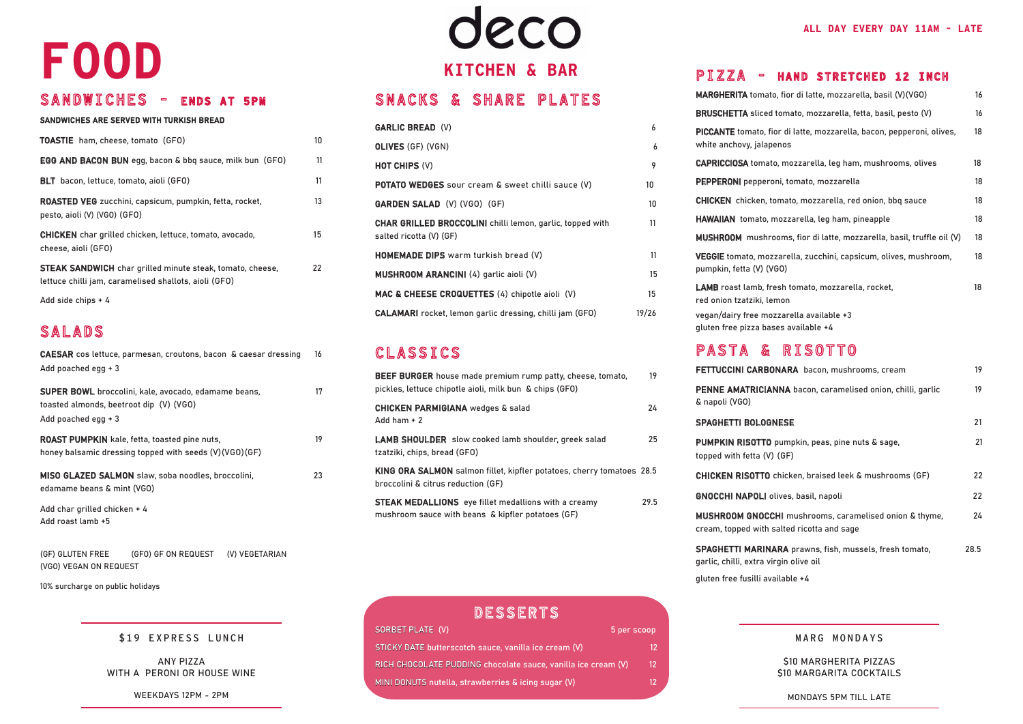#### SNACKS & SHARE PLATES

| <b>GARLIC BREAD (V)</b>                                                                     | 6     |
|---------------------------------------------------------------------------------------------|-------|
| <b>OLIVES (GF) (VGN)</b>                                                                    | 6     |
| <b>HOT CHIPS (V)</b>                                                                        | 9     |
| <b>POTATO WEDGES</b> sour cream & sweet chilli sauce (V)                                    | 10    |
| <b>GARDEN SALAD (V) (VGO) (GF)</b>                                                          | 10    |
| <b>CHAR GRILLED BROCCOLINI</b> chilli lemon, garlic, topped with<br>salted ricotta (V) (GF) | 11    |
| HOMEMADE DIPS warm turkish bread (V)                                                        | 11    |
| MUSHROOM ARANCINI (4) garlic aioli (V)                                                      | 15    |
| MAC & CHEESE CROQUETTES (4) chipotle aioli (V)                                              | 15    |
| <b>CALAMARI</b> rocket, lemon garlic dressing, chilli jam (GFO)                             | 19/26 |

#### CLASSICS

| <b>BEEF BURGER</b> house made premium rump patty, cheese, tomato,<br>pickles, lettuce chipotle aioli, milk bun & chips (GFO) | 19   |
|------------------------------------------------------------------------------------------------------------------------------|------|
| <b>CHICKEN PARMIGIANA</b> wedges & salad<br>Add ham $+2$                                                                     | 24   |
| <b>LAMB SHOULDER</b> slow cooked lamb shoulder, greek salad<br>tzatziki, chips, bread (GFO)                                  | 25   |
| KING ORA SALMON salmon fillet, kipfler potatoes, cherry tomatoes 28.5<br>broccolini & citrus reduction (GF)                  |      |
| <b>STEAK MEDALLIONS</b> eye fillet medallions with a creamy<br>mushroom sauce with beans & kipfler potatoes (GF)             | 29.5 |

## eco **KITCHEN & BAR**

gluten free fusilli available +4

#### SANDWICHES ARE SERVED WITH TURKISH BREAD

| <b>TOASTIE</b> ham, cheese, tomato (GFO)                                                                                  | 10.              |
|---------------------------------------------------------------------------------------------------------------------------|------------------|
| <b>EGG AND BACON BUN</b> egg, bacon & bbq sauce, milk bun (GFO)                                                           | 11               |
| <b>BLT</b> bacon, lettuce, tomato, aioli (GFO)                                                                            | 11               |
| <b>ROASTED VEG</b> zucchini, capsicum, pumpkin, fetta, rocket,<br>pesto, aioli (V) (VGO) (GFO)                            | 13               |
| <b>CHICKEN</b> char grilled chicken, lettuce, tomato, avocado,<br>cheese, aioli (GFO)                                     | 15 <sup>15</sup> |
| <b>STEAK SANDWICH</b> char grilled minute steak, tomato, cheese,<br>lettuce chilli jam, caramelised shallots, aioli (GFO) | 22               |
| Add side chips $+4$                                                                                                       |                  |

#### SALADS

| Add poached egg + 3                                             | CAESAR cos lettuce, parmesan, croutons, bacon & caesar dressing                                                | 16 |
|-----------------------------------------------------------------|----------------------------------------------------------------------------------------------------------------|----|
| toasted almonds, beetroot dip (V) (VGO)<br>Add poached egg $+3$ | <b>SUPER BOWL</b> broccolini, kale, avocado, edamame beans,                                                    | 17 |
|                                                                 | <b>ROAST PUMPKIN</b> kale, fetta, toasted pine nuts,<br>honey balsamic dressing topped with seeds (V)(VGO)(GF) | 19 |
| edamame beans & mint (VGO)                                      | MISO GLAZED SALMON slaw, soba noodles, broccolini,                                                             | 23 |
| Add char grilled chicken + 4<br>Add roast lamb +5               |                                                                                                                |    |
| (GF) GLUTEN FREE                                                | (GFO) GF ON REQUEST (V) VEGETARIAN                                                                             |    |

(VGO) VEGAN ON REQUEST

#### \$19 EXPRESS LUNCH

10% surcharge on public holidays

#### MARG MONDAYS

\$10 MARGHERITA PIZZAS \$10 MARGARITA COCKTAILS

MONDAYS 5PM TILL LATE

ANY PIZZA WITH A PERONI OR HOUSE WINE

WEEKDAYS 12PM - 2PM

#### PIZZA - HAND STRETCHED 12 INCH

| MARGHERITA tomato, fior di latte, mozzarella, basil (V)(VGO)                                                                                                               | 16   |
|----------------------------------------------------------------------------------------------------------------------------------------------------------------------------|------|
| BRUSCHETTA sliced tomato, mozzarella, fetta, basil, pesto (V)                                                                                                              | 16   |
| PICCANTE tomato, fior di latte, mozzarella, bacon, pepperoni, olives,<br>white anchovy, jalapenos                                                                          | 18   |
| <b>CAPRICCIOSA</b> tomato, mozzarella, leg ham, mushrooms, olives                                                                                                          | 18   |
| <b>PEPPERONI</b> pepperoni, tomato, mozzarella                                                                                                                             | 18   |
| <b>CHICKEN</b> chicken, tomato, mozzarella, red onion, bbq sauce                                                                                                           | 18   |
| HAWAIIAN tomato, mozzarella, leg ham, pineapple                                                                                                                            | 18   |
| MUSHROOM mushrooms, fior di latte, mozzarella, basil, truffle oil (V)                                                                                                      | 18   |
| VEGGIE tomato, mozzarella, zucchini, capsicum, olives, mushroom,<br>pumpkin, fetta (V) (VGO)                                                                               | 18   |
| <b>LAMB</b> roast lamb, fresh tomato, mozzarella, rocket,<br>red onion tzatziki, lemon<br>vegan/dairy free mozzarella available +3<br>gluten free pizza bases available +4 | 18   |
| PASTA & RISOTTO                                                                                                                                                            |      |
| FETTUCCINI CARBONARA bacon, mushrooms, cream                                                                                                                               | 19   |
| <b>PENNE AMATRICIANNA</b> bacon, caramelised onion, chilli, garlic<br>& napoli (VGO)                                                                                       | 19   |
| <b>SPAGHETTI BOLOGNESE</b>                                                                                                                                                 | 21   |
| <b>PUMPKIN RISOTTO</b> pumpkin, peas, pine nuts & sage,<br>topped with fetta (V) (GF)                                                                                      | 21   |
| <b>CHICKEN RISOTTO</b> chicken, braised leek & mushrooms (GF)                                                                                                              | 22   |
| <b>GNOCCHI NAPOLI</b> olives, basil, napoli                                                                                                                                | 22   |
| <b>MUSHROOM GNOCCHI</b> mushrooms, caramelised onion & thyme,<br>cream, topped with salted ricotta and sage                                                                | 24   |
| <b>SPAGHETTI MARINARA</b> prawns, fish, mussels, fresh tomato,<br>garlic, chilli, extra virgin olive oil                                                                   | 28.5 |
|                                                                                                                                                                            |      |

# **FOOD**

#### SANDWICHES - ENDS AT 5PM

| DESSERTS                                                      |             |
|---------------------------------------------------------------|-------------|
| SORBET PLATE (V)                                              | 5 per scoop |
| STICKY DATE butterscotch sauce, vanilla ice cream (V)         |             |
| RICH CHOCOLATE PUDDING chocolate sauce, vanilla ice cream (V) | 12          |
| MINI DONUTS nutella, strawberries & icing sugar (V)           |             |
|                                                               |             |

#### **MARGHERITA tomato BRUSCHETTA** sliced PICCANTE tomato, fio white anchovy, jalape CAPRICCIOSA tomato

VEGGIE tomato, mozz pumpkin, fetta (V) (V

#### PASTA &

FETTUCCINI CARBO